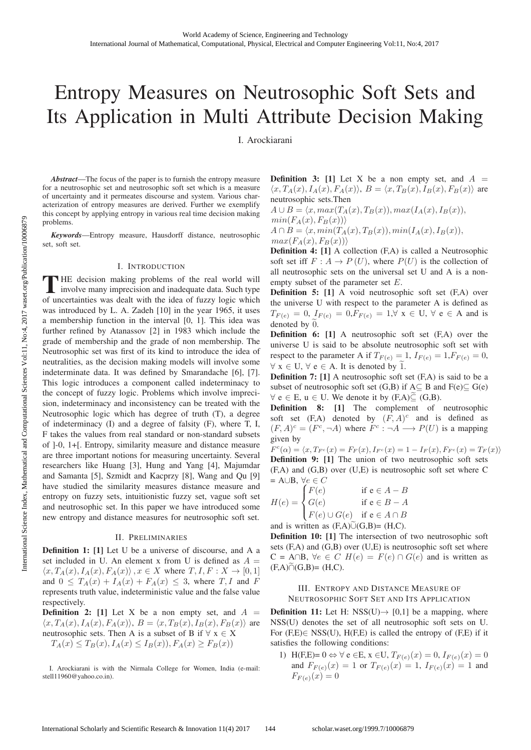# Entropy Measures on Neutrosophic Soft Sets and Its Application in Multi Attribute Decision Making

I. Arockiarani

*Abstract*—The focus of the paper is to furnish the entropy measure for a neutrosophic set and neutrosophic soft set which is a measure of uncertainty and it permeates discourse and system. Various characterization of entropy measures are derived. Further we exemplify this concept by applying entropy in various real time decision making problems.

*Keywords*—Entropy measure, Hausdorff distance, neutrosophic set, soft set.

## I. INTRODUCTION

THE decision making problems of the real world will involve many imprecision and inadequate data. Such type of uncertainties was dealt with the idea of fuzzy logic which was introduced by L. A. Zadeh [10] in the year 1965, it uses a membership function in the interval [0, 1]. This idea was further refined by Atanassov [2] in 1983 which include the grade of membership and the grade of non membership. The Neutrosophic set was first of its kind to introduce the idea of neutralities, as the decision making models will involve some indeterminate data. It was defined by Smarandache [6], [7]. This logic introduces a component called indeterminacy to the concept of fuzzy logic. Problems which involve imprecision, indeterminacy and inconsistency can be treated with the Neutrosophic logic which has degree of truth (T), a degree of indeterminacy (I) and a degree of falsity (F), where T, I, F takes the values from real standard or non-standard subsets of ]-0, 1+[. Entropy, similarity measure and distance measure are three important notions for measuring uncertainty. Several researchers like Huang [3], Hung and Yang [4], Majumdar and Samanta [5], Szmidt and Kacprzy [8], Wang and Qu [9] have studied the similarity measures distance measure and entropy on fuzzy sets, intuitionistic fuzzy set, vague soft set and neutrosophic set. In this paper we have introduced some new entropy and distance measures for neutrosophic soft set.

#### II. PRELIMINARIES

Definition 1: [1] Let U be a universe of discourse, and A a set included in U. An element x from U is defined as  $A =$  $\langle x, T_A(x), I_A(x), F_A(x) \rangle$ ,  $x \in X$  where  $T, I, F: X \to [0, 1]$ and  $0 \leq T_A(x) + I_A(x) + F_A(x) \leq 3$ , where  $T, I$  and F represents truth value, indeterministic value and the false value respectively.

**Definition 2:** [1] Let X be a non empty set, and  $A =$  $\langle x, T_A(x), I_A(x), F_A(x) \rangle$ ,  $B = \langle x, T_B(x), I_B(x), F_B(x) \rangle$  are neutrosophic sets. Then A is a subset of B if  $\forall x \in X$  $T_A(x) \leq T_B(x), I_A(x) \leq I_B(x), F_A(x) \geq F_B(x)$ 

**Definition 3:** [1] Let X be a non empty set, and  $A =$  $\langle x, T_A(x), I_A(x), F_A(x) \rangle$ ,  $B = \langle x, T_B(x), I_B(x), F_B(x) \rangle$  are neutrosophic sets.Then

$$
A \cup B = \langle x, max(T_A(x), T_B(x)), max(I_A(x), I_B(x)),
$$
  
\n
$$
min(F_A(x), F_B(x))\rangle
$$
  
\n
$$
A \cap B = \langle x, min(T_A(x), T_B(x)), min(I_A(x), I_B(x)),
$$

 $max(F_A(x), F_B(x))$ Definition 4: [1] A collection (F,A) is called a Neutrosophic soft set iff  $F: A \to P(U)$ , where  $P(U)$  is the collection of all neutrosophic sets on the universal set U and A is a nonempty subset of the parameter set E.

Definition 5: [1] A void neutrosophic soft set (F,A) over the universe U with respect to the parameter A is defined as  $T_{F(e)} = 0$ ,  $I_{F(e)} = 0$ ,  $F_{F(e)} = 1$ ,  $\forall$  x  $\in$  U,  $\forall$  e  $\in$  A and is denoted by 0.

Definition 6: [1] A neutrosophic soft set (F,A) over the universe U is said to be absolute neutrosophic soft set with respect to the parameter A if  $T_{F(e)} = 1$ ,  $I_{F(e)} = 1$ ,  $F_{F(e)} = 0$ ,  $\forall x \in U, \forall e \in A$ . It is denoted by 1.

Definition 7: [1] A neutrosophic soft set (F,A) is said to be a subset of neutrosophic soft set  $(G,B)$  if  $A \subseteq B$  and  $F(e) \subseteq G(e)$  $\forall e \in E, u \in U$ . We denote it by  $(F,A) \subseteq (G,B)$ .

Definition 8: [1] The complement of neutrosophic soft set  $(F,A)$  denoted by  $(F, A)^c$  and is defined as  $(F, A)^c = (F^c, \neg A)$  where  $F^c : \neg A \longrightarrow P(U)$  is a mapping given by

 $F^{c}(\alpha) = \langle x, T_{F^{c}}(x) = F_{F}(x), I_{F^{c}}(x) = 1 - I_{F}(x), F_{F^{c}}(x) = T_{F}(x) \rangle$ Definition 9: [1] The union of two neutrosophic soft sets (F,A) and (G,B) over (U,E) is neutrosophic soft set where C  $= A \cup B, \ \forall e \in C$ 

$$
H(e) = \begin{cases} F(e) & \text{if } e \in A - B \\ G(e) & \text{if } e \in B - A \\ F(e) \cup G(e) & \text{if } e \in A \cap B \end{cases}
$$

and is written as  $(F,A)$  $\cup$  $(G,B) = (H,C)$ .

Definition 10: [1] The intersection of two neutrosophic soft sets  $(F,A)$  and  $(G,B)$  over  $(U,E)$  is neutrosophic soft set where  $C = A \cap B$ ,  $\forall e \in C$   $H(e) = F(e) \cap G(e)$  and is written as  $(F,A) \cap (G,B) = (H,C).$ 

# III. ENTROPY AND DISTANCE MEASURE OF NEUTROSOPHIC SOFT SET AND ITS APPLICATION

**Definition 11:** Let H: NSS(U) $\rightarrow$  [0,1] be a mapping, where NSS(U) denotes the set of all neutrosophic soft sets on U. For  $(F,E) \in NSS(U)$ ,  $H(F,E)$  is called the entropy of  $(F,E)$  if it satisfies the following conditions:

1) H(F,E)=  $0 \Leftrightarrow \forall e \in E$ ,  $x \in U$ ,  $T_{F(e)}(x) = 0$ ,  $I_{F(e)}(x) = 0$ and  $F_{F(e)}(x)=1$  or  $T_{F(e)}(x)=1$ ,  $I_{F(e)}(x)=1$  and  $F_{F(e)}(x)=0$ 

I. Arockiarani is with the Nirmala College for Women, India (e-mail: stell11960@yahoo.co.in).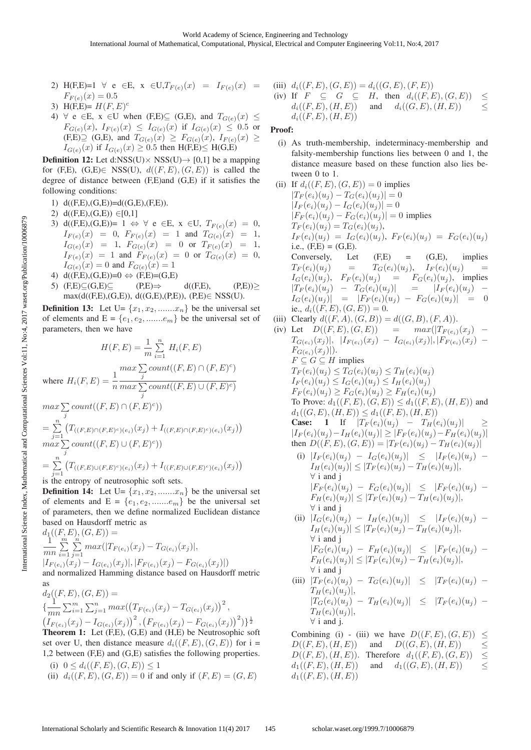- 2) H(F,E)=1  $\forall e \in E$ ,  $x \in U$ ,  $T_{F(e)}(x) = I_{F(e)}(x) =$  $F_{F(e)}(x)=0.5$
- 3) H(F,E)=  $H(F, E)^c$
- 4)  $\forall$  e  $\in$  E, x  $\in$  U when (F,E) $\subseteq$  (G,E), and  $T_{G(e)}(x) \le$  $F_{G(e)}(x), I_{F(e)}(x) \leq I_{G(e)}(x)$  if  $I_{G(e)}(x) \leq 0.5$  or  $(F,E) \supseteq (G,E)$ , and  $T_{G(e)}(x) \geq F_{G(e)}(x)$ ,  $I_{F(e)}(x) \geq$  $I_{G(e)}(x)$  if  $I_{G(e)}(x) \geq 0.5$  then  $H(F,E) \leq H(G,E)$

**Definition 12:** Let d:NSS(U) $\times$  NSS(U) $\rightarrow$  [0,1] be a mapping for (F,E), (G,E) $\in$  NSS(U),  $d((F, E), (G, E))$  is called the degree of distance between (F,E)and (G,E) if it satisfies the following conditions:

- 1) d((F,E),(G,E))=d((G,E),(F,E)).
- 2)  $d(F,E),(G,E)) \in [0,1]$
- 3) d((F,E),(G,E))= 1  $\Leftrightarrow$   $\forall$  e  $\in$ E, x  $\in$ U,  $T_{F(e)}(x)=0$ ,  $I_{F(e)}(x) = 0, F_{F(e)}(x) = 1$  and  $T_{G(e)}(x) = 1$ ,  $I_{G(e)}(x) = 1, F_{G(e)}(x) = 0 \text{ or } T_{F(e)}(x) = 1,$  $I_{F(e)}(x) = 1$  and  $F_{F(e)}(x) = 0$  or  $T_{G(e)}(x) = 0$ ,  $I_{G(e)}(x)=0$  and  $F_{G(e)}(x)=1$
- 4) d((F,E),(G,E))=0  $\Leftrightarrow$  (F,E)=(G,E)<br>5) (F,E) $\subseteq$ (G,E) $\subseteq$  (P,E) $\Rightarrow$
- 5)  $(F,E) \subseteq (G,E) \subseteq$   $(P,E) \Rightarrow$  d( $(F,E)$ ,  $(P,E) \ge$ max(d((F,E),(G,E)), d((G,E),(P,E)), (P,E)∈ NSS(U).

**Definition 13:** Let  $U = \{x_1, x_2, \dots, x_n\}$  be the universal set of elements and  $E = \{e_1, e_2, \dots, e_m\}$  be the universal set of parameters, then we have

$$
H(F, E) = \frac{1}{m} \sum_{i=1}^{n} H_i(F, E)
$$
  
\nwhere  $H_i(F, E) = \frac{1}{n} \frac{max \sum_{j} count((F, E) \cap (F, E)^c)}{max \sum_{j} count((F, E) \cup (F, E)^c)}$   
\n
$$
max \sum_{j} count((F, E) \cap (F, E)^c))
$$
  
\n
$$
= \sum_{j=1}^{n} (T_{((F, E) \cap (F, E)^c)(e_i)}(x_j) + I_{((F, E) \cap (F, E)^c)(e_i)}(x_j))
$$
  
\n
$$
max \sum_{j=1}^{n} count((F, E) \cup (F, E)^c))
$$
  
\n
$$
= \sum_{j=1}^{n} (T_{((F, E) \cup (F, E)^c)(e_i)}(x_j) + I_{((F, E) \cup (F, E)^c)(e_i)}(x_j))
$$

is the entropy of neutrosophic soft sets.

**Definition 14:** Let  $U = \{x_1, x_2, \dots, x_n\}$  be the universal set of elements and  $E = \{e_1, e_2, \dots, e_m\}$  be the universal set of parameters, then we define normalized Euclidean distance based on Hausdorff metric as

$$
d_1((F, E), (G, E)) =
$$
  
\n
$$
\frac{1}{mn} \sum_{i=1}^{m} \sum_{j=1}^{n} max(|T_{F(e_i)}(x_j) - T_{G(e_i)}(x_j)|,
$$
  
\n
$$
|I_{F(e_i)}(x_j) - I_{G(e_i)}(x_j)|, |F_{F(e_i)}(x_j) - F_{G(e_i)}(x_j)|)
$$
  
\nand normalized Hamming distance based on Hausdorff metric

as  
\n
$$
d_2((F, E), (G, E)) =
$$
\n
$$
\{\frac{1}{mn} \sum_{i=1}^{m} \sum_{j=1}^{n} max((T_{F(e_i)}(x_j) - T_{G(e_i)}(x_j))^2, (I_{F(e_i)}(x_j) - I_{G(e_i)}(x_j))^2)\}
$$
\n
$$
(I_{F(e_i)}(x_j) - I_{G(e_i)}(x_j))^2, (F_{F(e_i)}(x_j) - F_{G(e_i)}(x_j))^2)\}^{\frac{1}{2}}
$$
\n**Theorem 1:** Let (F, E), (G, E) and (H, E) be Neutrosophic soft  
\nset over U, then distance measure  $d_i((F, E), (G, E))$  for  $i =$ 

1,2 between (F,E) and (G,E) satisfies the following properties. (i)  $0 \leq d_i((F, E), (G, E)) \leq 1$ 

(ii)  $d_i((F, E), (G, E)) = 0$  if and only if  $(F, E) = (G, E)$ 

(iii) 
$$
d_i((F, E), (G, E)) = d_i((G, E), (F, E))
$$
  
\n(iv) If  $F \subseteq G \subseteq H$ , then  $d_i((F, E), (G, E)) \le$   
\n $d_i((F, E), (H, E))$  and  $d_i((G, E), (H, E)) \le$   
\n $d_i((F, E), (H, E))$ 

# Proof:

- (i) As truth-membership, indeterminacy-membership and falsity-membership functions lies between 0 and 1, the distance measure based on these function also lies between 0 to 1.
- (ii) If  $d_i((F, E), (G, E)) = 0$  implies  $|T_F(e_i)(u_j) - T_G(e_i)(u_j)| = 0$  $|I_F(e_i)(u_i) - I_G(e_i)(u_i)| = 0$  $|F_F(e_i)(u_i) - F_G(e_i)(u_i)| = 0$  implies  $T_F(e_i)(u_j) = T_G(e_i)(u_j),$  $I_F(e_i)(u_j) = I_G(e_i)(u_j), F_F(e_i)(u_j) = F_G(e_i)(u_j)$ i.e.,  $(F,E) = (G,E)$ . Conversely, Let  $(F,E)$  =  $(G,E)$ , implies  $T_F(e_i)(u_j) = T_G(e_i)(u_j), T_F(e_i)(u_j) =$  $I_G(e_i)(u_i)$ ,  $F_F(e_i)(u_i)$  =  $F_G(e_i)(u_i)$ , implies  $|T_F(e_i)(u_i) - T_G(e_i)(u_i)| = |I_F(e_i)(u_i) I_G(e_i)(u_i)$  =  $|F_F(e_i)(u_i) - F_G(e_i)(u_i)| = 0$ ie.,  $d_i((F, E), (G, E)) = 0.$ (iii) Clearly  $d((F, A), (G, B)) = d((G, B), (F, A)).$ (iv) Let  $D((F, E), (G, E)) = \max(|T_{F(e_i)}(x_j)| -$ 
	- $T_{G(e_i)}(x_j)|, |I_{F(e_i)}(x_j) I_{G(e_i)}(x_j)|, |F_{F(e_i)}(x_j) F_{G(e_i)}(x_j)|).$  $F \subseteq G \subseteq H$  implies  $T_F(e_i)(u_i) \leq T_G(e_i)(u_i) \leq T_H(e_i)(u_i)$  $I_F(e_i)(u_j) \leq I_G(e_i)(u_j) \leq I_H(e_i)(u_j)$  $F_F(e_i)(u_i) \geq F_G(e_i)(u_i) \geq F_H(e_i)(u_i)$ To Prove:  $d_1((F, E), (G, E)) \leq d_1((F, E), (H, E))$  and  $d_1((G, E), (H, E)) \leq d_1((F, E), (H, E))$ **Case:** 1 If  $|T_F(e_i)(u_i) - T_H(e_i)(u_i)|$  $|I_F(e_i)(u_j) - I_H(e_i)(u_j)| \geq |F_F(e_i)(u_j) - F_H(e_i)(u_j)|$ then  $D((F, E), (G, E)) = |T_F(e_i)(u_j) - T_H(e_i)(u_j)|$ (i)  $|I_F(e_i)(u_i) - I_G(e_i)(u_i)| \leq |I_F(e_i)(u_i) |I_H(e_i)(u_j)| \leq |T_F(e_i)(u_j) - T_H(e_i)(u_j)|,$ ∀ i and j  $|F_F (e_i)(u_i) - F_G (e_i)(u_i)| \leq |F_F (e_i)(u_i) F_H(e_i)(u_j)| \leq |T_F(e_i)(u_j) - T_H(e_i)(u_j)|,$ ∀ i and j (ii)  $|I_G(e_i)(u_j) - I_H(e_i)(u_j)| \leq |I_F (e_i)(u_j) |I_H(e_i)(u_j)| \leq |T_F(e_i)(u_j) - T_H(e_i)(u_j)|,$ ∀ i and j  $|F_G(e_i)(u_j) - F_H(e_i)(u_j)| \leq |F_F(e_i)(u_j) - F_H(e_j)(u_j)|$  $F_H(e_i)(u_i)| \leq |T_F(e_i)(u_i) - T_H(e_i)(u_i)|,$ 
		- ∀ i and j (iii)  $|T_F(e_i)(u_j) - T_G(e_i)(u_j)| \leq |T_F(e_i)(u_j) T_H(e_i)(u_j)$ ,  $|T_G(e_i)(u_i) - T_H(e_i)(u_i)| \leq |T_F (e_i)(u_i) T_H(e_i)(u_j)|,$ ∀ i and j.

Combining (i) - (iii) we have  $D((F, E), (G, E)) \le D((F, E), (H, E))$  and  $D((G, E), (H, E))$  <  $D((G, E), (H, E))$ <br>
ore  $d_1((F, E), (G, E)) \leq$  $D((F, E), (H, E))$ . Therefore  $d_1((F, E), (G, E)) \leq$ <br> $d_1((F, E), (H, E))$  and  $d_1((G, E), (H, E)) \leq$  $d_1((G, E), (H, E))$  $d_1((F, E), (H, E))$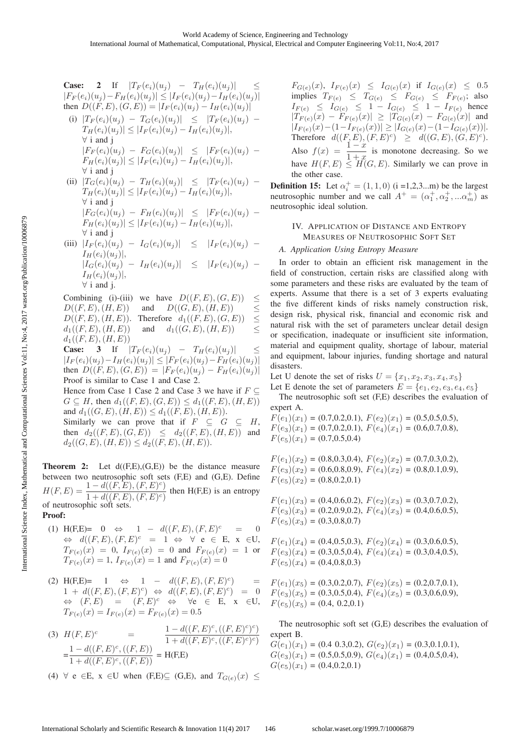Case: 2 If 
$$
|T_F(e_i)(u_j) - T_H(e_i)(u_j)| \le |F_F(e_i)(u_j) - F_H(e_i)(u_j)| \le |F_F(e_i)(u_j) - I_H(e_i)(u_j)|
$$
  
\nthen  $D((F, E), (G, E)) = |I_F(e_i)(u_j) - I_H(e_i)(u_j)|$   
\n(i)  $|T_F(e_i)(u_j) - T_G(e_i)(u_j)| \le |T_F(e_i)(u_j) - T_H(e_i)(u_j)|$   
\n $|T_H(e_i)(u_j)| \le |I_F(e_i)(u_j) - I_H(e_i)(u_j)|$ ,  
\n $\forall$  i and j  
\n $|F_F(e_i)(u_j) - F_G(e_i)(u_j)| \le |F_F(e_i)(u_j) - F_H(e_i)(u_j)|$ ,  
\n $\forall$  i and j  
\n(ii)  $|T_H(e_i)(u_j) - T_H(e_i)(u_j) - I_H(e_i)(u_j)|$ ,  
\n(iii)  $|T_H(e_i)(u_j) - T_H(e_i)(u_j) - T_H(e_i)(u_j)$ 

(ii) 
$$
|T_G(e_i)(u_j) - T_H(e_i)(u_j)| \leq |T_F(e_i)(u_j) - T_H(e_i)(u_j)|
$$
  
\n $|T_H(e_i)(u_j)| \leq |I_F(e_i)(u_j) - I_H(e_i)(u_j)|$ ,  
\n $|F_G(e_i)(u_j) - F_H(e_i)(u_j)| \leq |F_F(e_i)(u_j) - F_H(e_i)(u_j)|$ ,

∀ i and j (iii)  $|I_F(e_i)(u_j) - I_G(e_i)(u_j)| \leq |I_F(e_i)(u_j) I_H(e_i)(u_j)$ ,  $|I_G(e_i)(u_j) - I_H(e_i)(u_j)| \leq |I_F (e_i)(u_j) I_H(e_i)(u_j)$ , ∀ i and j.

Combining (i)-(iii) we have  $D((F, E), (G, E)) \le D((F, E), (H, E))$  and  $D((G, E), (H, E)) \le$ and  $D((G, E), (H, E)) \le$ <br>Therefore  $d_1((F, E), (G, E)) \le$  $D((F, E), (H, E))$ . Therefore  $d_1((F, E), (G, E)) \le d_1((F, E), (H, E))$  and  $d_1((G, E), (H, E))$  < and  $d_1((G, E), (H, E))$  $d_1((F, E), (H, E))$ 

**Case:** 3 If  $|T_F(e_i)(u_i) - T_H(e_i)(u_j)|$  $|I_F(e_i)(u_j) - I_H(e_i)(u_j)| \leq |F_F(e_i)(u_j) - F_H(e_i)(u_j)|$ then  $D((F, E), (G, E)) = |F_F(e_i)(u_i) - F_H(e_i)(u_j)|$ Proof is similar to Case 1 and Case 2.

Hence from Case 1 Case 2 and Case 3 we have if  $F \subseteq$  $G \subseteq H$ , then  $d_1((F, E), (G, E)) \leq d_1((F, E), (H, E))$ and  $d_1((G, E), (H, E)) \leq d_1((F, E), (H, E)).$ 

Similarly we can prove that if  $F \subseteq G \subseteq H$ , then  $d_2((F, E), (G, E)) \leq d_2((F, E), (H, E))$  and  $d_2((G, E), (H, E)) \leq d_2((F, E), (H, E)).$ 

**Theorem 2:** Let  $d(F,E),(G,E)$  be the distance measure between two neutrosophic soft sets (F,E) and (G,E). Define<br> $H(F, E) = \frac{1 - d((F, E), (F, E)^c)}{1 - d((F, E))}$  than H(E,E) is an artisenty  $H(F, E) = \frac{1 - d((F, E), (F, E)^c)}{1 + d((F, E), (F, E)^c)}$  then H(F,E) is an entropy of neutrosophic soft sets.

# Proof:

- (1) H(F,E)= 0  $\Leftrightarrow$  1  $d((F, E), (F, E)^c = 0$  $\Leftrightarrow d((F, E), (F, E)^c = 1 \Leftrightarrow \forall e \in E, x \in U,$  $T_{F(e)}(x) = 0$ ,  $I_{F(e)}(x) = 0$  and  $F_{F(e)}(x) = 1$  or  $T_{F(e)}(x)=1, I_{F(e)}(x)=1$  and  $F_{F(e)}(x)=0$
- (2) H(F,E)= 1  $\Leftrightarrow$  1  $d((F, E), (F, E)^c)$  =  $1 + d((F, E), (F, E)^c) \Leftrightarrow d((F, E), (F, E)^c) = 0$  $\Leftrightarrow$   $(F, E) = (F, E)^c \Leftrightarrow \forall e \in E, x \in U,$  $T_{F(e)}(x) = I_{F(e)}(x) = F_{F(e)}(x) = 0.5$
- (3)  $H(F, E)^c$  =  $\frac{1 d((F, E)^c, ((F, E)^c)^c)}{1 + d((F, E)^c, ((F, E)^c)^c)}$  $=\frac{1-d((F, E)^{c}, ((F, E))}{1+d((F, E)^{c}, ((F, E))}$  = H(F,E)
- (4)  $\forall$  e ∈E, x ∈U when (F,E) $\subseteq$  (G,E), and  $T_{G(e)}(x) \leq$

 $F_{G(e)}(x),\ I_{F(e)}(x) \leq I_{G(e)}(x)$  if  $I_{G(e)}(x) \leq 0.5$ implies  $T_{F(e)} \leq T_{G(e)} \leq F_{G(e)} \leq F_{F(e)}$ ; also  $I_{F(e)} \leq I_{G(e)} \leq 1 - I_{G(e)} \leq 1 - I_{F(e)}$  hence  $|T_{F(e)}(x) - F_{F(e)}(x)| \ge |T_{G(e)}(x) - F_{G(e)}(x)|$  and  $|I_{F(e)}(x) - (1 - I_{F(e)}(x))| \geq |I_{G(e)}(x) - (1 - I_{G(e)}(x))|$ . Therefore  $d((F, E), (F, E)^c) \geq d((G, E), (G, E)^c).$ Also  $f(x) = \frac{1-x}{1+x}$  is monotone decreasing. So we have  $H(F, E) \leq H(G, E)$ . Similarly we can prove in the other case.

**Definition 15:** Let  $\alpha_i^+ = (1, 1, 0)$  (i =1,2,3...m) be the largest neutrosophic number and we call  $A^+ = (\alpha_1^+, \alpha_2^+, ... \alpha_m^+)$  as neutrosophic ideal solution.

# IV. APPLICATION OF DISTANCE AND ENTROPY MEASURES OF NEUTROSOPHIC SOFT SET

In order to obtain an efficient risk management in the field of construction, certain risks are classified along with some parameters and these risks are evaluated by the team of experts. Assume that there is a set of 3 experts evaluating the five different kinds of risks namely construction risk, design risk, physical risk, financial and economic risk and natural risk with the set of parameters unclear detail design or specification, inadequate or insufficient site information, material and equipment quality, shortage of labour, material and equipment, labour injuries, funding shortage and natural disasters.

Let U denote the set of risks  $U = \{x_1, x_2, x_3, x_4, x_5\}$ 

Let E denote the set of parameters  $E = \{e_1, e_2, e_3, e_4, e_5\}$ The neutrosophic soft set (F,E) describes the evaluation of expert A.

 $F(e_1)(x_1) = (0.7, 0.2, 0.1), F(e_2)(x_1) = (0.5, 0.5, 0.5),$  $F(e_3)(x_1) = (0.7, 0.2, 0.1), F(e_4)(x_1) = (0.6, 0.7, 0.8),$  $F(e_5)(x_1) = (0.7, 0.5, 0.4)$ 

 $F(e_1)(x_2) = (0.8, 0.3, 0.4), F(e_2)(x_2) = (0.7, 0.3, 0.2),$  $F(e_3)(x_2) = (0.6, 0.8, 0.9), F(e_4)(x_2) = (0.8, 0.1, 0.9),$  $F(e_5)(x_2) = (0.8, 0.2, 0.1)$ 

 $F(e_1)(x_3) = (0.4, 0.6, 0.2), F(e_2)(x_3) = (0.3, 0.7, 0.2),$  $F(e_3)(x_3) = (0.2, 0.9, 0.2), F(e_4)(x_3) = (0.4, 0.6, 0.5),$  $F(e_5)(x_3) = (0.3, 0.8, 0.7)$ 

- $F(e_1)(x_4) = (0.4, 0.5, 0.3), F(e_2)(x_4) = (0.3, 0.6, 0.5),$  $F(e_3)(x_4) = (0.3, 0.5, 0.4), F(e_4)(x_4) = (0.3, 0.4, 0.5),$  $F(e_5)(x_4) = (0.4, 0.8, 0.3)$
- $F(e_1)(x_5) = (0.3, 0.2, 0.7), F(e_2)(x_5) = (0.2, 0.7, 0.1),$  $F(e_3)(x_5) = (0.3, 0.5, 0.4), F(e_4)(x_5) = (0.3, 0.6, 0.9),$  $F(e_5)(x_5) = (0.4, 0.2, 0.1)$

The neutrosophic soft set (G,E) describes the evaluation of expert B.

 $G(e_1)(x_1) = (0.4 \ 0.3, 0.2), G(e_2)(x_1) = (0.3, 0.1, 0.1),$  $G(e_3)(x_1) = (0.5, 0.5, 0.9), G(e_4)(x_1) = (0.4, 0.5, 0.4),$  $G(e_5)(x_1) = (0.4, 0.2, 0.1)$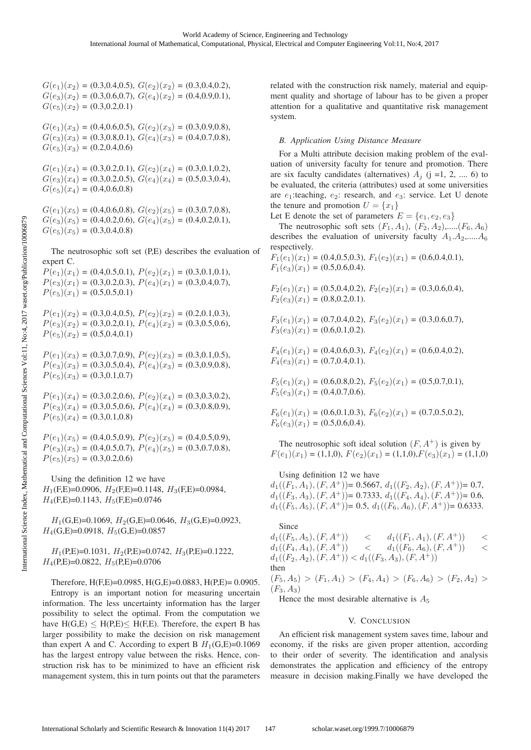$G(e_1)(x_2) = (0.3, 0.4, 0.5), G(e_2)(x_2) = (0.3, 0.4, 0.2),$  $G(e_3)(x_2) = (0.3, 0.6, 0.7), G(e_4)(x_2) = (0.4, 0.9, 0.1),$  $G(e_5)(x_2) = (0.3, 0.2, 0.1)$ 

 $G(e_1)(x_3) = (0.4, 0.6, 0.5), G(e_2)(x_3) = (0.3, 0.9, 0.8),$  $G(e_3)(x_3) = (0.3, 0.8, 0.1), G(e_4)(x_3) = (0.4, 0.7, 0.8),$  $G(e_5)(x_3) = (0.2, 0.4, 0.6)$ 

 $G(e_1)(x_4) = (0.3, 0.2, 0.1), G(e_2)(x_4) = (0.3, 0.1, 0.2),$  $G(e_3)(x_4) = (0.3, 0.2, 0.5), G(e_4)(x_4) = (0.5, 0.3, 0.4),$  $G(e_5)(x_4) = (0.4, 0.6, 0.8)$ 

 $G(e_1)(x_5) = (0.4, 0.6, 0.8), G(e_2)(x_5) = (0.3, 0.7, 0.8),$  $G(e_3)(x_5) = (0.4, 0.2, 0.6), G(e_4)(x_5) = (0.4, 0.2, 0.1),$  $G(e_5)(x_5) = (0.3, 0.4, 0.8)$ 

The neutrosophic soft set (P,E) describes the evaluation of expert C.

 $P(e_1)(x_1) = (0.4, 0.5, 0.1), P(e_2)(x_1) = (0.3, 0.1, 0.1),$  $P(e_3)(x_1) = (0.3, 0.2, 0.3), P(e_4)(x_1) = (0.3, 0.4, 0.7),$  $P(e_5)(x_1) = (0.5, 0.5, 0.1)$ 

 $P(e_1)(x_2) = (0.3, 0.4, 0.5), P(e_2)(x_2) = (0.2, 0.1, 0.3),$  $P(e_3)(x_2) = (0.3, 0.2, 0.1), P(e_4)(x_2) = (0.3, 0.5, 0.6),$  $P(e_5)(x_2) = (0.5, 0.4, 0.1)$ 

 $P(e_1)(x_3) = (0.3, 0.7, 0.9), P(e_2)(x_3) = (0.3, 0.1, 0.5),$  $P(e_3)(x_3) = (0.3, 0.5, 0.4), P(e_4)(x_3) = (0.3, 0.9, 0.8),$  $P(e_5)(x_3) = (0.3, 0.1, 0.7)$ 

 $P(e_1)(x_4) = (0.3, 0.2, 0.6), P(e_2)(x_4) = (0.3, 0.3, 0.2),$  $P(e_3)(x_4) = (0.3, 0.5, 0.6), P(e_4)(x_4) = (0.3, 0.8, 0.9),$  $P(e_5)(x_4) = (0.3, 0.1, 0.8)$ 

 $P(e_1)(x_5) = (0.4, 0.5, 0.9), P(e_2)(x_5) = (0.4, 0.5, 0.9),$  $P(e_3)(x_5) = (0.4, 0.5, 0.7), P(e_4)(x_5) = (0.3, 0.7, 0.8),$  $P(e_5)(x_5) = (0.3, 0.2, 0.6)$ 

Using the definition 12 we have  $H_1$ (F,E)=0.0906,  $H_2$ (F,E)=0.1148,  $H_3$ (F,E)=0.0984,  $H_4$ (F,E)=0.1143,  $H_5$ (F,E)=0.0746

 $H_1(G,E)=0.1069$ ,  $H_2(G,E)=0.0646$ ,  $H_3(G,E)=0.0923$ ,  $H_4(G, E)=0.0918$ ,  $H_5(G, E)=0.0857$ 

 $H_1(P,E)=0.1031$ ,  $H_2(P,E)=0.0742$ ,  $H_3(P,E)=0.1222$ ,  $H_4$ (P,E)=0.0822,  $H_5$ (P,E)=0.0706

Therefore,  $H(F,E)=0.0985$ ,  $H(G,E)=0.0883$ ,  $H(P,E)=0.0905$ . Entropy is an important notion for measuring uncertain

information. The less uncertainty information has the larger possibility to select the optimal. From the computation we have  $H(G,E) \leq H(P,E) \leq H(F,E)$ . Therefore, the expert B has larger possibility to make the decision on risk management than expert A and C. According to expert B  $H_1(G,E)=0.1069$ has the largest entropy value between the risks. Hence, construction risk has to be minimized to have an efficient risk management system, this in turn points out that the parameters related with the construction risk namely, material and equipment quality and shortage of labour has to be given a proper attention for a qualitative and quantitative risk management system.

*B. Application Using Distance Measure* For a Multi attribute decision making problem of the evaluation of university faculty for tenure and promotion. There are six faculty candidates (alternatives)  $A_i$  (j =1, 2, ..., 6) to be evaluated, the criteria (attributes) used at some universities are  $e_1$ :teaching,  $e_2$ : research, and  $e_3$ : service. Let U denote the tenure and promotion  $U = \{x_1\}$ 

Let E denote the set of parameters  $E = \{e_1, e_2, e_3\}$ 

The neutrosophic soft sets  $(F_1, A_1)$ ,  $(F_2, A_2)$ ,..... $(F_6, A_6)$ describes the evaluation of university faculty  $A_1 \cdot A_2$ ,...... $A_6$ respectively.

 $F_1(e_1)(x_1) = (0.4, 0.5, 0.3), F_1(e_2)(x_1) = (0.6, 0.4, 0.1),$  $F_1(e_3)(x_1) = (0.5, 0.6, 0.4).$ 

$$
F_2(e_1)(x_1) = (0.5, 0.4, 0.2), F_2(e_2)(x_1) = (0.3, 0.6, 0.4),
$$
  
\n
$$
F_2(e_3)(x_1) = (0.8, 0.2, 0.1).
$$

 $F_3(e_1)(x_1) = (0.7, 0.4, 0.2), F_3(e_2)(x_1) = (0.3, 0.6, 0.7),$  $F_3(e_3)(x_1) = (0.6, 0.1, 0.2).$ 

 $F_4(e_1)(x_1) = (0.4, 0.6, 0.3), F_4(e_2)(x_1) = (0.6, 0.4, 0.2),$  $F_4(e_3)(x_1) = (0.7, 0.4, 0.1).$ 

 $F_5(e_1)(x_1) = (0.6, 0.8, 0.2), F_5(e_2)(x_1) = (0.5, 0.7, 0.1),$  $F_5(e_3)(x_1) = (0.4, 0.7, 0.6).$ 

$$
F_6(e_1)(x_1) = (0.6, 0.1, 0.3), F_6(e_2)(x_1) = (0.7, 0.5, 0.2),
$$
  

$$
F_6(e_3)(x_1) = (0.5, 0.6, 0.4).
$$

The neutrosophic soft ideal solution  $(F, A^+)$  is given by  $F(e_1)(x_1) = (1,1,0), F(e_2)(x_1) = (1,1,0), F(e_3)(x_1) = (1,1,0)$ 

Using definition 12 we have

 $\mathbf{S}$ 

 $d_1((F_1, A_1), (F, A^+))$ = 0.5667,  $d_1((F_2, A_2), (F, A^+))$ = 0.7,  $d_1((F_3, A_3), (F, A^+))$ = 0.7333,  $d_1((F_4, A_4), (F, A^+))$ = 0.6,  $d_1((F_5, A_5), (F, A^+))$ = 0.5,  $d_1((F_6, A_6), (F, A^+))$ = 0.6333.

since  
\n
$$
d_1((F_5, A_5), (F, A^+)) < d_1((F_1, A_1), (F, A^+)) \n d_1((F_4, A_4), (F, A^+)) < d_1((F_6, A_6), (F, A^+)) \n d_1((F_2, A_2), (F, A^+)) < d_1((F_3, A_3), (F, A^+))
$$
\nthen  
\n
$$
(F_5, A_5) > (F_1, A_1) > (F_4, A_4) > (F_6, A_6) > (F_2, A_2) >
$$
\n
$$
(F_3, A_3)
$$

Hence the most desirable alternative is  $A_5$ 

### V. CONCLUSION

An efficient risk management system saves time, labour and economy, if the risks are given proper attention, according to their order of severity. The identification and analysis demonstrates the application and efficiency of the entropy measure in decision making.Finally we have developed the